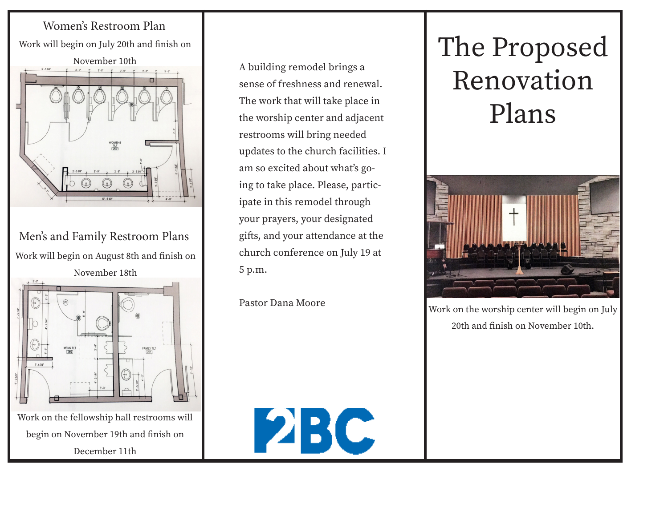## Women's Restroom Plan Work will begin on July 20th and finish on



Men's and Family Restroom Plans Work will begin on August 8th and finish on November 18th

Work on the fellowship hall restrooms will begin on November 19th and finish on December 11th

A building remodel brings a sense of freshness and renewal. The work that will take place in the worship center and adjacent restrooms will bring needed updates to the church facilities. I am so excited about what's going to take place. Please, participate in this remodel through your prayers, your designated gifts, and your attendance at the church conference on July 19 at 5 p.m.

Pastor Dana Moore

## The Proposed Renovation Plans



Work on the worship center will begin on July 20th and finish on November 10th.

**2BC**